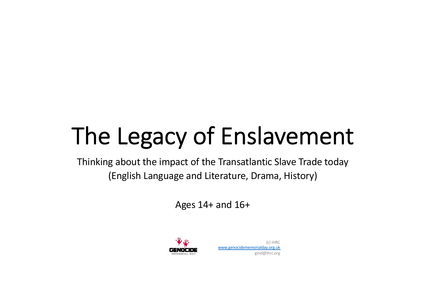# The Legacy of Enslavement

Thinking about the impact of the Transatlantic Slave Trade today (English Language and Literature, Drama, History)

Ages 14+ and 16+

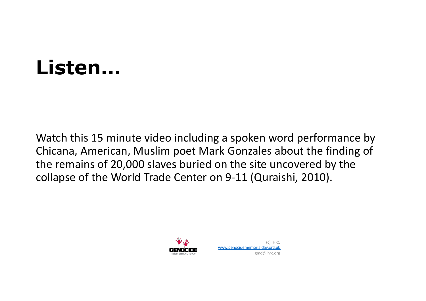### **Listen…**

Watch this 15 minute video including a spoken word performance by Chicana, American, Muslim poet Mark Gonzales about the finding of the remains of 20,000 slaves buried on the site uncovered by the collapse of the World Trade Center on 9-11 (Quraishi, 2010).

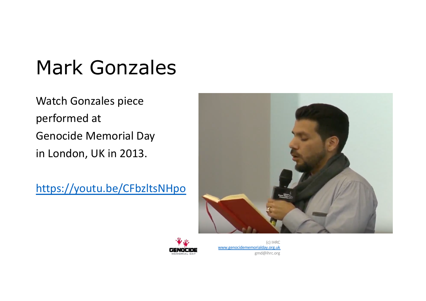### Mark Gonzales

Watch Gonzales piece performed at Genocide Memorial Day in London, UK in 2013.

<https://youtu.be/CFbzltsNHpo>



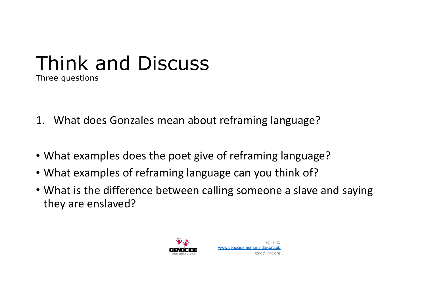#### Think and Discuss Three questions

- 1. What does Gonzales mean about reframing language?
- What examples does the poet give of reframing language?
- What examples of reframing language can you think of?
- What is the difference between calling someone a slave and saying they are enslaved?



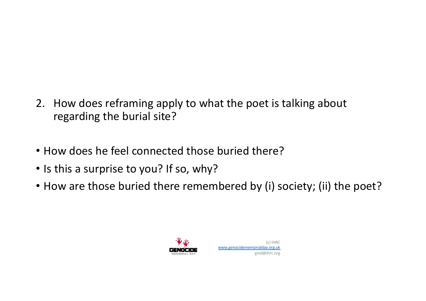- 2. How does reframing apply to what the poet is talking about regarding the burial site?
- How does he feel connected those buried there?
- Is this a surprise to you? If so, why?
- How are those buried there remembered by (i) society; (ii) the poet?



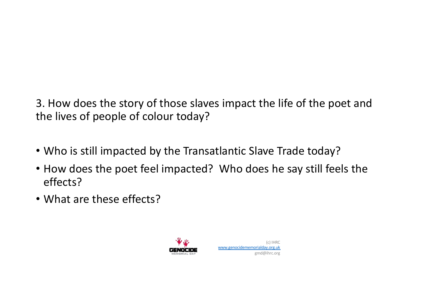3. How does the story of those slaves impact the life of the poet and the lives of people of colour today?

- Who is still impacted by the Transatlantic Slave Trade today?
- How does the poet feel impacted? Who does he say still feels the effects?
- What are these effects?

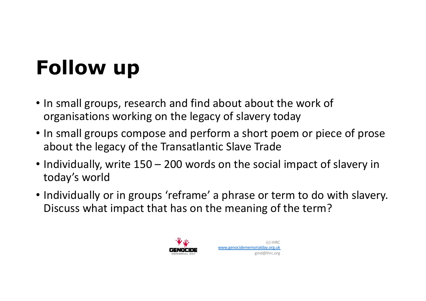## **Follow up**

- In small groups, research and find about about the work of organisations working on the legacy of slavery today
- In small groups compose and perform a short poem or piece of prose about the legacy of the Transatlantic Slave Trade
- Individually, write 150 200 words on the social impact of slavery in today's world
- Individually or in groups 'reframe' a phrase or term to do with slavery. Discuss what impact that has on the meaning of the term?